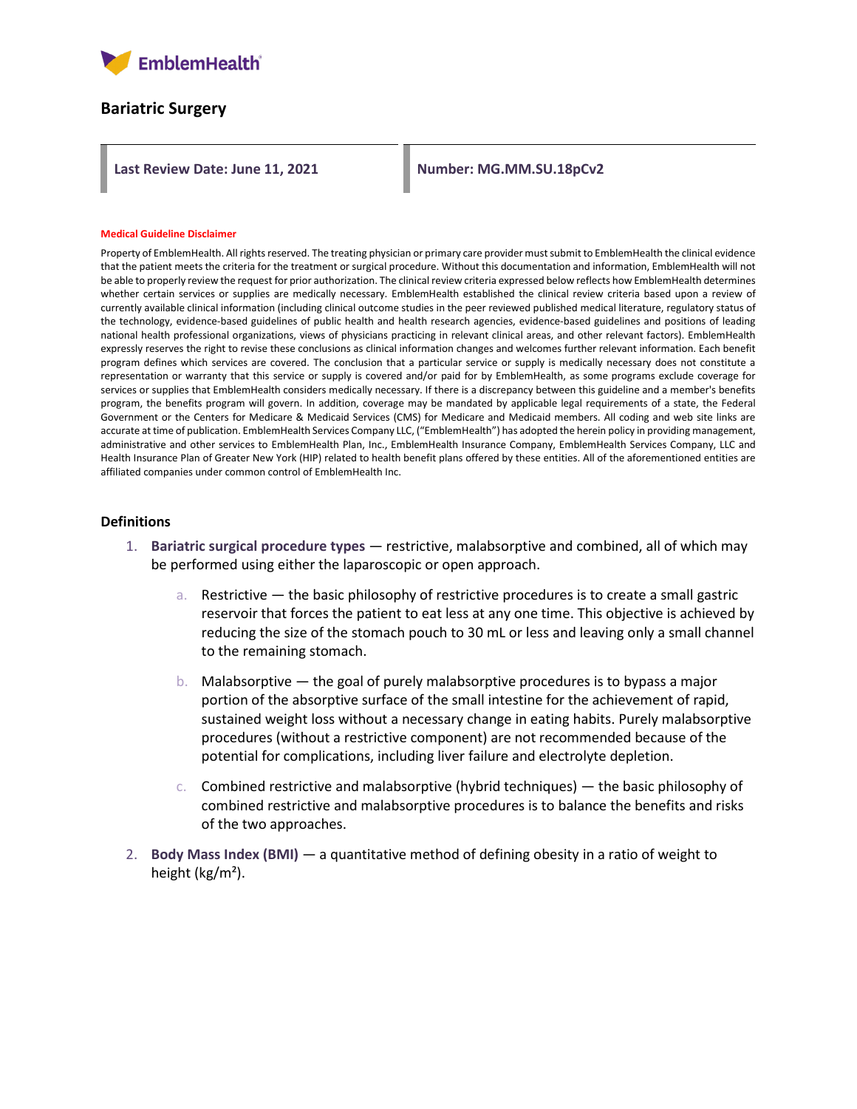

### **Bariatric Surgery**

Last Review Date: June 11, 2021 Number: MG.MM.SU.18pCv2

#### **Medical Guideline Disclaimer**

Property of EmblemHealth. All rights reserved. The treating physician or primary care provider must submit to EmblemHealth the clinical evidence that the patient meets the criteria for the treatment or surgical procedure. Without this documentation and information, EmblemHealth will not be able to properly review the request for prior authorization. The clinical review criteria expressed below reflects how EmblemHealth determines whether certain services or supplies are medically necessary. EmblemHealth established the clinical review criteria based upon a review of currently available clinical information (including clinical outcome studies in the peer reviewed published medical literature, regulatory status of the technology, evidence-based guidelines of public health and health research agencies, evidence-based guidelines and positions of leading national health professional organizations, views of physicians practicing in relevant clinical areas, and other relevant factors). EmblemHealth expressly reserves the right to revise these conclusions as clinical information changes and welcomes further relevant information. Each benefit program defines which services are covered. The conclusion that a particular service or supply is medically necessary does not constitute a representation or warranty that this service or supply is covered and/or paid for by EmblemHealth, as some programs exclude coverage for services or supplies that EmblemHealth considers medically necessary. If there is a discrepancy between this guideline and a member's benefits program, the benefits program will govern. In addition, coverage may be mandated by applicable legal requirements of a state, the Federal Government or the Centers for Medicare & Medicaid Services (CMS) for Medicare and Medicaid members. All coding and web site links are accurate at time of publication. EmblemHealth Services Company LLC, ("EmblemHealth") has adopted the herein policy in providing management, administrative and other services to EmblemHealth Plan, Inc., EmblemHealth Insurance Company, EmblemHealth Services Company, LLC and Health Insurance Plan of Greater New York (HIP) related to health benefit plans offered by these entities. All of the aforementioned entities are affiliated companies under common control of EmblemHealth Inc.

#### **Definitions**

- 1. **Bariatric surgical procedure types** restrictive, malabsorptive and combined, all of which may be performed using either the laparoscopic or open approach.
	- a. Restrictive the basic philosophy of restrictive procedures is to create a small gastric reservoir that forces the patient to eat less at any one time. This objective is achieved by reducing the size of the stomach pouch to 30 mL or less and leaving only a small channel to the remaining stomach.
	- b. Malabsorptive  $-$  the goal of purely malabsorptive procedures is to bypass a major portion of the absorptive surface of the small intestine for the achievement of rapid, sustained weight loss without a necessary change in eating habits. Purely malabsorptive procedures (without a restrictive component) are not recommended because of the potential for complications, including liver failure and electrolyte depletion.
	- c. Combined restrictive and malabsorptive (hybrid techniques) the basic philosophy of combined restrictive and malabsorptive procedures is to balance the benefits and risks of the two approaches.
- 2. **Body Mass Index (BMI)** a quantitative method of defining obesity in a ratio of weight to height (kg/m²).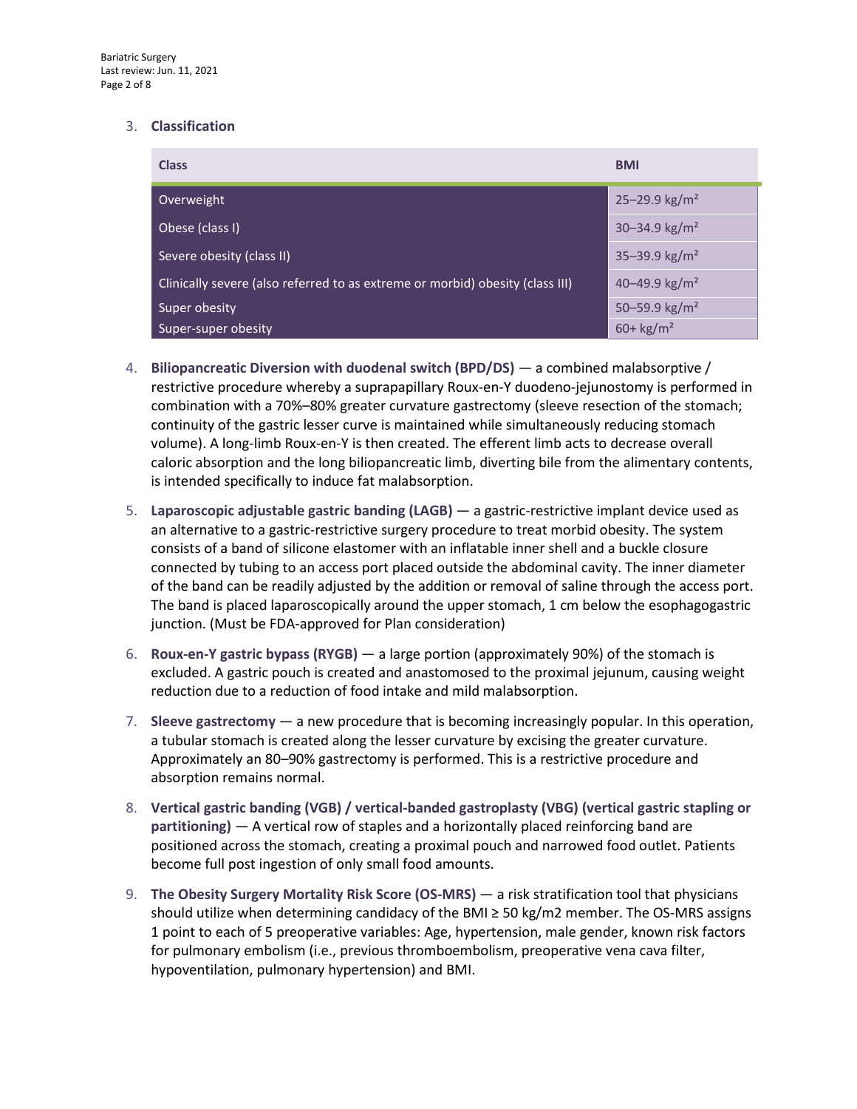### 3. **Classification**

| <b>Class</b>                                                                  | <b>BMI</b>                    |
|-------------------------------------------------------------------------------|-------------------------------|
| Overweight                                                                    | $25 - 29.9$ kg/m <sup>2</sup> |
| Obese (class I)                                                               | $30 - 34.9$ kg/m <sup>2</sup> |
| Severe obesity (class II)                                                     | 35-39.9 $\text{kg/m}^2$       |
| Clinically severe (also referred to as extreme or morbid) obesity (class III) | 40-49.9 kg/m <sup>2</sup>     |
| Super obesity                                                                 | 50-59.9 kg/m <sup>2</sup>     |
| Super-super obesity                                                           | $60 + \text{kg/m}^2$          |

- 4. **Biliopancreatic Diversion with duodenal switch (BPD/DS)** a combined malabsorptive / restrictive procedure whereby a suprapapillary Roux-en-Y duodeno-jejunostomy is performed in combination with a 70%–80% greater curvature gastrectomy (sleeve resection of the stomach; continuity of the gastric lesser curve is maintained while simultaneously reducing stomach volume). A long-limb Roux-en-Y is then created. The efferent limb acts to decrease overall caloric absorption and the long biliopancreatic limb, diverting bile from the alimentary contents, is intended specifically to induce fat malabsorption.
- 5. **Laparoscopic adjustable gastric banding (LAGB)** a gastric-restrictive implant device used as an alternative to a gastric-restrictive surgery procedure to treat morbid obesity. The system consists of a band of silicone elastomer with an inflatable inner shell and a buckle closure connected by tubing to an access port placed outside the abdominal cavity. The inner diameter of the band can be readily adjusted by the addition or removal of saline through the access port. The band is placed laparoscopically around the upper stomach, 1 cm below the esophagogastric junction. (Must be FDA-approved for Plan consideration)
- 6. **Roux-en-Y gastric bypass (RYGB)** a large portion (approximately 90%) of the stomach is excluded. A gastric pouch is created and anastomosed to the proximal jejunum, causing weight reduction due to a reduction of food intake and mild malabsorption.
- 7. **Sleeve gastrectomy** a new procedure that is becoming increasingly popular. In this operation, a tubular stomach is created along the lesser curvature by excising the greater curvature. Approximately an 80–90% gastrectomy is performed. This is a restrictive procedure and absorption remains normal.
- 8. **Vertical gastric banding (VGB) / vertical-banded gastroplasty (VBG) (vertical gastric stapling or partitioning)** — A vertical row of staples and a horizontally placed reinforcing band are positioned across the stomach, creating a proximal pouch and narrowed food outlet. Patients become full post ingestion of only small food amounts.
- 9. **The Obesity Surgery Mortality Risk Score (OS-MRS)** a risk stratification tool that physicians should utilize when determining candidacy of the BMI  $\geq$  50 kg/m2 member. The OS-MRS assigns 1 point to each of 5 preoperative variables: Age, hypertension, male gender, known risk factors for pulmonary embolism (i.e., previous thromboembolism, preoperative vena cava filter, hypoventilation, pulmonary hypertension) and BMI.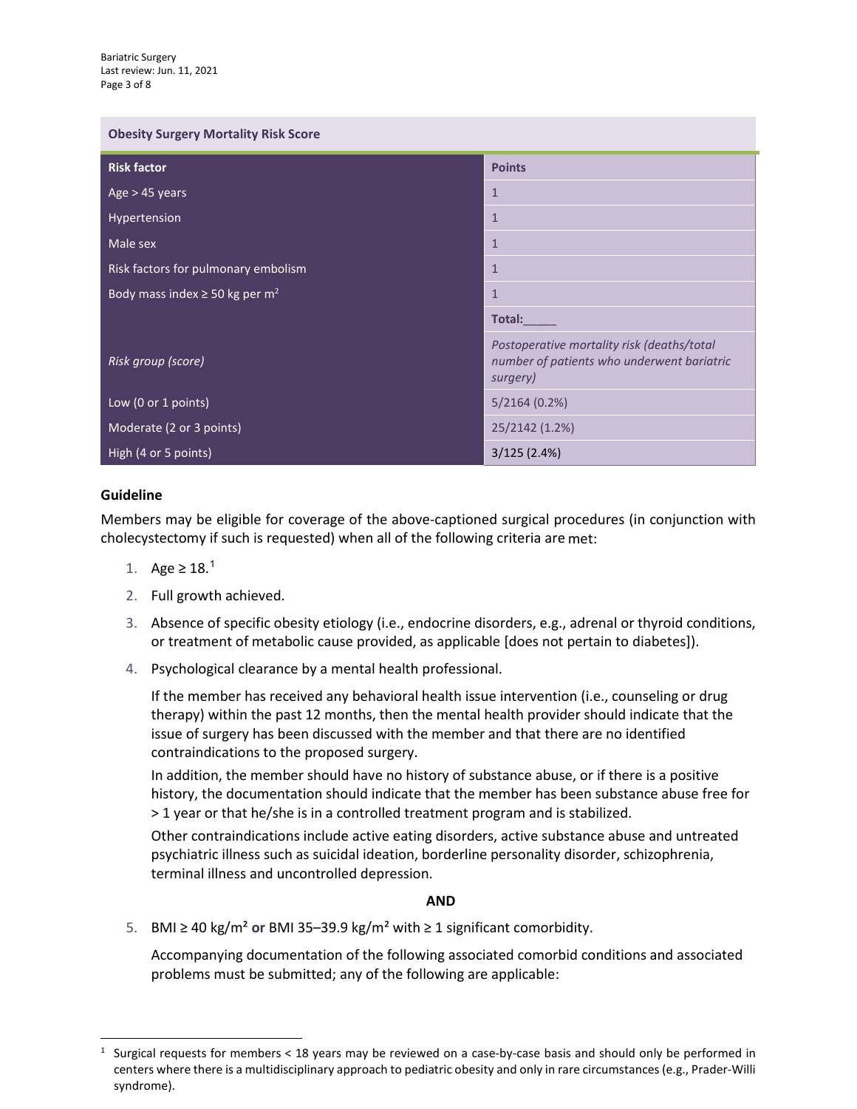| <b>Obesity Surgery Mortality Risk Score</b>    |                                                                                                      |  |
|------------------------------------------------|------------------------------------------------------------------------------------------------------|--|
| <b>Risk factor</b>                             | <b>Points</b>                                                                                        |  |
| Age $>$ 45 years                               | $\mathbf{1}$                                                                                         |  |
| Hypertension                                   | $\mathbf{1}$                                                                                         |  |
| Male sex                                       | $\mathbf{1}$                                                                                         |  |
| Risk factors for pulmonary embolism            | $\mathbf{1}$                                                                                         |  |
| Body mass index $\ge$ 50 kg per m <sup>2</sup> | $\mathbf{1}$                                                                                         |  |
|                                                | Total:                                                                                               |  |
| Risk group (score)                             | Postoperative mortality risk (deaths/total<br>number of patients who underwent bariatric<br>surgery) |  |
| Low (0 or 1 points)                            | 5/2164(0.2%)                                                                                         |  |
| Moderate (2 or 3 points)                       | 25/2142 (1.2%)                                                                                       |  |
| High (4 or 5 points)                           | 3/125(2.4%)                                                                                          |  |

## **Guideline**

Members may be eligible for coverage of the above-captioned surgical procedures (in conjunction with cholecystectomy if such is requested) when all of the following criteria are met:

- [1](#page-2-0). Age ≥ 18.<sup>1</sup>
- 2. Full growth achieved.
- 3. Absence of specific obesity etiology (i.e., endocrine disorders, e.g., adrenal or thyroid conditions, or treatment of metabolic cause provided, as applicable [does not pertain to diabetes]).
- 4. Psychological clearance by a mental health professional.

If the member has received any behavioral health issue intervention (i.e., counseling or drug therapy) within the past 12 months, then the mental health provider should indicate that the issue of surgery has been discussed with the member and that there are no identified contraindications to the proposed surgery.

In addition, the member should have no history of substance abuse, or if there is a positive history, the documentation should indicate that the member has been substance abuse free for > 1 year or that he/she is in a controlled treatment program and is stabilized.

Other contraindications include active eating disorders, active substance abuse and untreated psychiatric illness such as suicidal ideation, borderline personality disorder, schizophrenia, terminal illness and uncontrolled depression.

### **AND**

5. BMI ≥ 40 kg/m² **or** BMI 35–39.9 kg/m² with ≥ 1 significant comorbidity.

Accompanying documentation of the following associated comorbid conditions and associated problems must be submitted; any of the following are applicable:

<span id="page-2-0"></span><sup>&</sup>lt;sup>1</sup> Surgical requests for members < 18 years may be reviewed on a case-by-case basis and should only be performed in centers where there is a multidisciplinary approach to pediatric obesity and only in rare circumstances (e.g., Prader-Willi syndrome).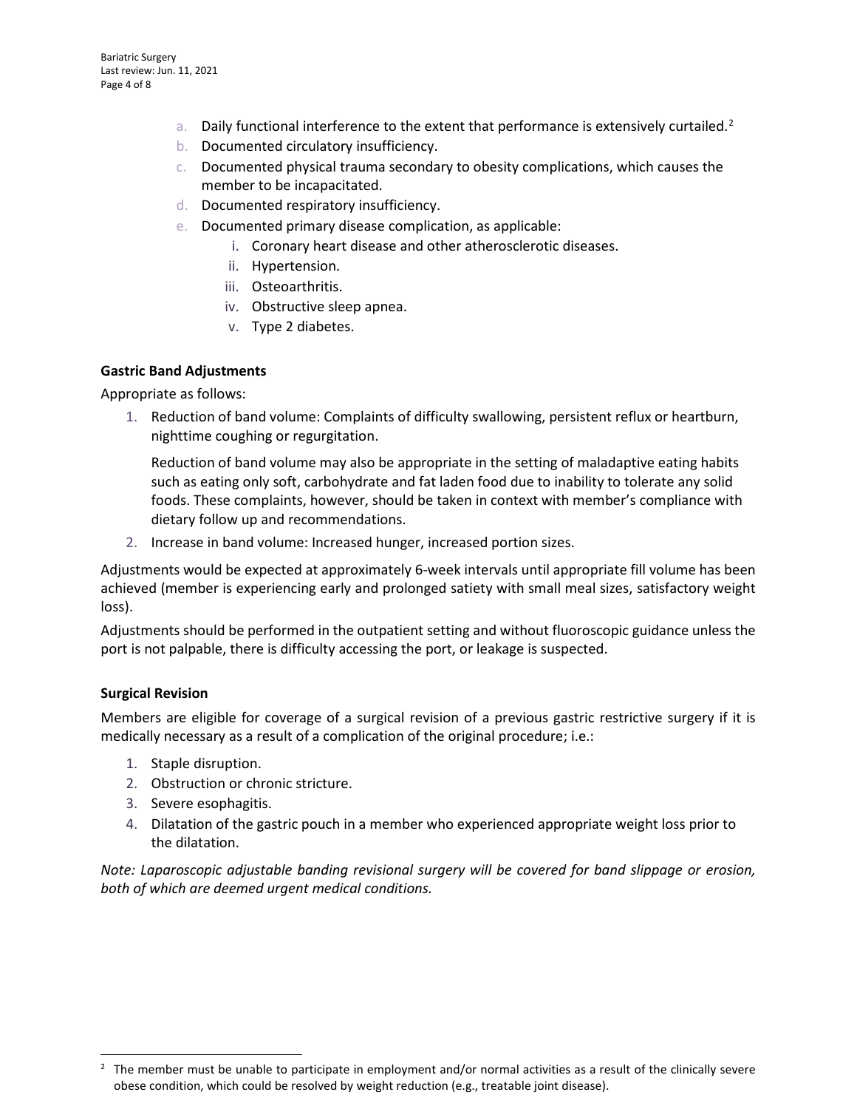- a. Daily functional interference to the extent that performance is extensively curtailed.<sup>[2](#page-3-0)</sup>
- b. Documented circulatory insufficiency.
- c. Documented physical trauma secondary to obesity complications, which causes the member to be incapacitated.
- d. Documented respiratory insufficiency.
- e. Documented primary disease complication, as applicable:
	- i. Coronary heart disease and other atherosclerotic diseases.
	- ii. Hypertension.
	- iii. Osteoarthritis.
	- iv. Obstructive sleep apnea.
	- v. Type 2 diabetes.

#### **Gastric Band Adjustments**

Appropriate as follows:

1. Reduction of band volume: Complaints of difficulty swallowing, persistent reflux or heartburn, nighttime coughing or regurgitation.

Reduction of band volume may also be appropriate in the setting of maladaptive eating habits such as eating only soft, carbohydrate and fat laden food due to inability to tolerate any solid foods. These complaints, however, should be taken in context with member's compliance with dietary follow up and recommendations.

2. Increase in band volume: Increased hunger, increased portion sizes.

Adjustments would be expected at approximately 6-week intervals until appropriate fill volume has been achieved (member is experiencing early and prolonged satiety with small meal sizes, satisfactory weight loss).

Adjustments should be performed in the outpatient setting and without fluoroscopic guidance unless the port is not palpable, there is difficulty accessing the port, or leakage is suspected.

#### **Surgical Revision**

Members are eligible for coverage of a surgical revision of a previous gastric restrictive surgery if it is medically necessary as a result of a complication of the original procedure; i.e.:

- 1. Staple disruption.
- 2. Obstruction or chronic stricture.
- 3. Severe esophagitis.
- 4. Dilatation of the gastric pouch in a member who experienced appropriate weight loss prior to the dilatation.

*Note: Laparoscopic adjustable banding revisional surgery will be covered for band slippage or erosion, both of which are deemed urgent medical conditions.*

<span id="page-3-0"></span> $2$  The member must be unable to participate in employment and/or normal activities as a result of the clinically severe obese condition, which could be resolved by weight reduction (e.g., treatable joint disease).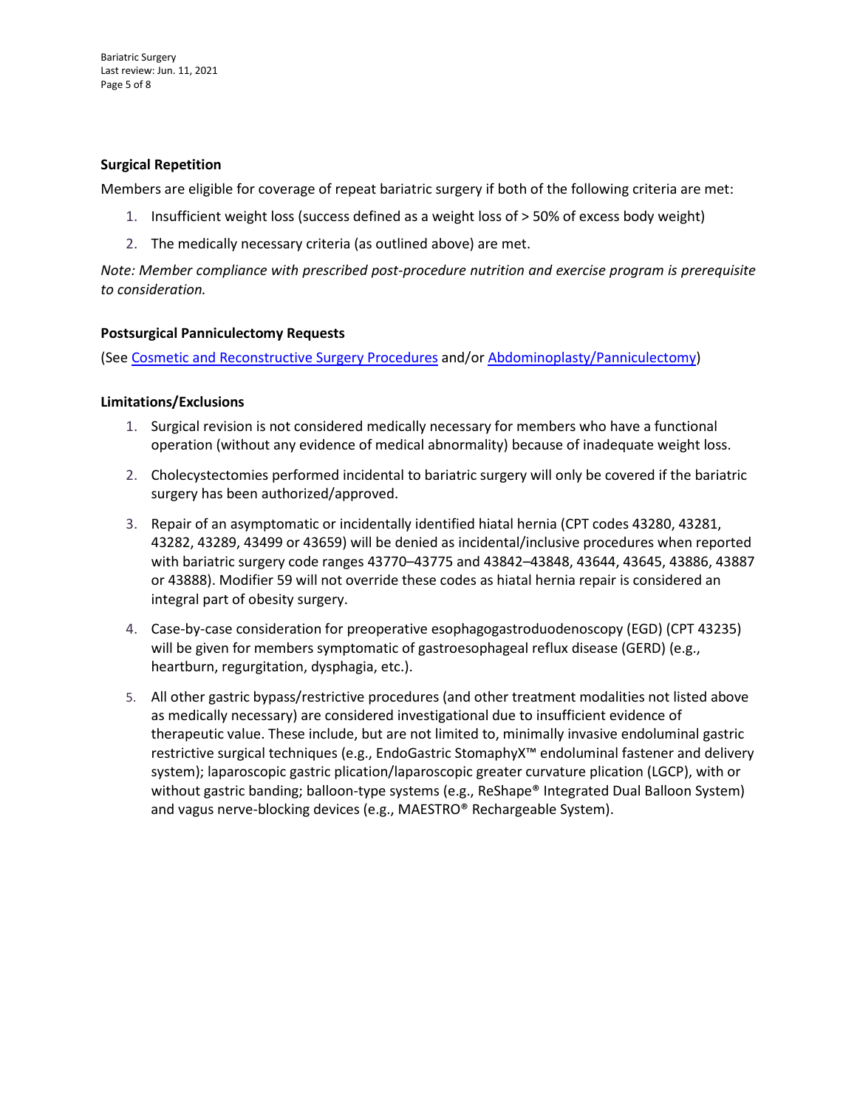### **Surgical Repetition**

Members are eligible for coverage of repeat bariatric surgery if both of the following criteria are met:

- 1. Insufficient weight loss (success defined as a weight loss of > 50% of excess body weight)
- 2. The medically necessary criteria (as outlined above) are met.

*Note: Member compliance with prescribed post-procedure nutrition and exercise program is prerequisite to consideration.*

### **Postsurgical Panniculectomy Requests**

(See [Cosmetic and Reconstructive Surgery](https://www.emblemhealth.com/content/dam/emblemhealth/pdfs/provider/medical_policies/c/MG_Cosmetic_and_Reconstructive_Surgery_Procedures.pdf) Procedures and/o[r Abdominoplasty/Panniculectomy\)](https://www.emblemhealth.com/%7E/media/Files/PDF/_med_guidelines/MG_Abdominoplasty_Panniculectomy.pdf)

### **Limitations/Exclusions**

- 1. Surgical revision is not considered medically necessary for members who have a functional operation (without any evidence of medical abnormality) because of inadequate weight loss.
- 2. Cholecystectomies performed incidental to bariatric surgery will only be covered if the bariatric surgery has been authorized/approved.
- 3. Repair of an asymptomatic or incidentally identified hiatal hernia (CPT codes 43280, 43281, 43282, 43289, 43499 or 43659) will be denied as incidental/inclusive procedures when reported with bariatric surgery code ranges 43770–43775 and 43842–43848, 43644, 43645, 43886, 43887 or 43888). Modifier 59 will not override these codes as hiatal hernia repair is considered an integral part of obesity surgery.
- 4. Case-by-case consideration for preoperative esophagogastroduodenoscopy (EGD) (CPT 43235) will be given for members symptomatic of gastroesophageal reflux disease (GERD) (e.g., heartburn, regurgitation, dysphagia, etc.).
- 5. All other gastric bypass/restrictive procedures (and other treatment modalities not listed above as medically necessary) are considered investigational due to insufficient evidence of therapeutic value. These include, but are not limited to, minimally invasive endoluminal gastric restrictive surgical techniques (e.g., EndoGastric StomaphyX™ endoluminal fastener and delivery system); laparoscopic gastric plication/laparoscopic greater curvature plication (LGCP), with or without gastric banding; balloon-type systems (e.g., ReShape® Integrated Dual Balloon System) and vagus nerve-blocking devices (e.g., MAESTRO® Rechargeable System).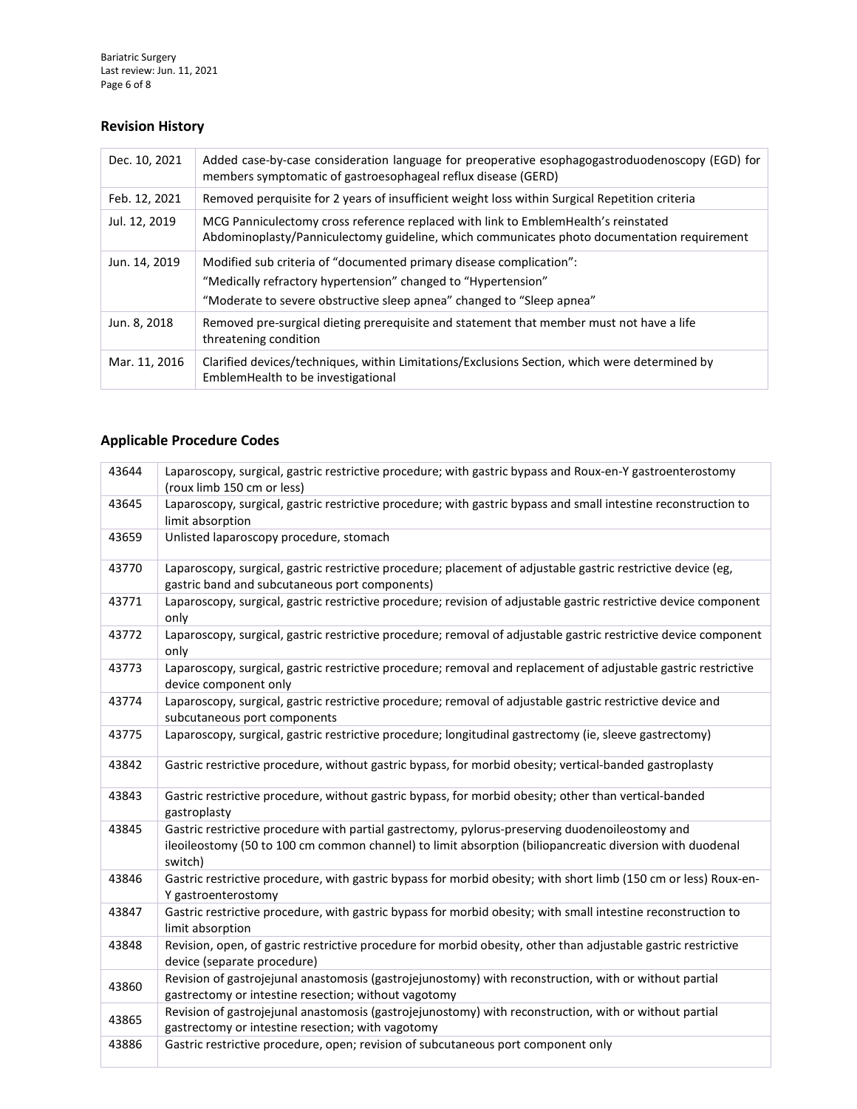Bariatric Surgery Last review: Jun. 11, 2021 Page 6 of 8

# **Revision History**

| Dec. 10, 2021 | Added case-by-case consideration language for preoperative esophagogastroduodenoscopy (EGD) for<br>members symptomatic of gastroesophageal reflux disease (GERD)                                              |
|---------------|---------------------------------------------------------------------------------------------------------------------------------------------------------------------------------------------------------------|
| Feb. 12, 2021 | Removed perquisite for 2 years of insufficient weight loss within Surgical Repetition criteria                                                                                                                |
| Jul. 12, 2019 | MCG Panniculectomy cross reference replaced with link to EmblemHealth's reinstated<br>Abdominoplasty/Panniculectomy guideline, which communicates photo documentation requirement                             |
| Jun. 14, 2019 | Modified sub criteria of "documented primary disease complication":<br>"Medically refractory hypertension" changed to "Hypertension"<br>"Moderate to severe obstructive sleep apnea" changed to "Sleep apnea" |
| Jun. 8, 2018  | Removed pre-surgical dieting prerequisite and statement that member must not have a life<br>threatening condition                                                                                             |
| Mar. 11, 2016 | Clarified devices/techniques, within Limitations/Exclusions Section, which were determined by<br>EmblemHealth to be investigational                                                                           |

## **Applicable Procedure Codes**

| 43644 | Laparoscopy, surgical, gastric restrictive procedure; with gastric bypass and Roux-en-Y gastroenterostomy<br>(roux limb 150 cm or less)                                                                                |
|-------|------------------------------------------------------------------------------------------------------------------------------------------------------------------------------------------------------------------------|
| 43645 | Laparoscopy, surgical, gastric restrictive procedure; with gastric bypass and small intestine reconstruction to<br>limit absorption                                                                                    |
| 43659 | Unlisted laparoscopy procedure, stomach                                                                                                                                                                                |
| 43770 | Laparoscopy, surgical, gastric restrictive procedure; placement of adjustable gastric restrictive device (eg,<br>gastric band and subcutaneous port components)                                                        |
| 43771 | Laparoscopy, surgical, gastric restrictive procedure; revision of adjustable gastric restrictive device component<br>only                                                                                              |
| 43772 | Laparoscopy, surgical, gastric restrictive procedure; removal of adjustable gastric restrictive device component<br>only                                                                                               |
| 43773 | Laparoscopy, surgical, gastric restrictive procedure; removal and replacement of adjustable gastric restrictive<br>device component only                                                                               |
| 43774 | Laparoscopy, surgical, gastric restrictive procedure; removal of adjustable gastric restrictive device and<br>subcutaneous port components                                                                             |
| 43775 | Laparoscopy, surgical, gastric restrictive procedure; longitudinal gastrectomy (ie, sleeve gastrectomy)                                                                                                                |
| 43842 | Gastric restrictive procedure, without gastric bypass, for morbid obesity; vertical-banded gastroplasty                                                                                                                |
| 43843 | Gastric restrictive procedure, without gastric bypass, for morbid obesity; other than vertical-banded<br>gastroplasty                                                                                                  |
| 43845 | Gastric restrictive procedure with partial gastrectomy, pylorus-preserving duodenoileostomy and<br>ileoileostomy (50 to 100 cm common channel) to limit absorption (biliopancreatic diversion with duodenal<br>switch) |
| 43846 | Gastric restrictive procedure, with gastric bypass for morbid obesity; with short limb (150 cm or less) Roux-en-<br>Y gastroenterostomy                                                                                |
| 43847 | Gastric restrictive procedure, with gastric bypass for morbid obesity; with small intestine reconstruction to<br>limit absorption                                                                                      |
| 43848 | Revision, open, of gastric restrictive procedure for morbid obesity, other than adjustable gastric restrictive<br>device (separate procedure)                                                                          |
| 43860 | Revision of gastrojejunal anastomosis (gastrojejunostomy) with reconstruction, with or without partial<br>gastrectomy or intestine resection; without vagotomy                                                         |
| 43865 | Revision of gastrojejunal anastomosis (gastrojejunostomy) with reconstruction, with or without partial<br>gastrectomy or intestine resection; with vagotomy                                                            |
| 43886 | Gastric restrictive procedure, open; revision of subcutaneous port component only                                                                                                                                      |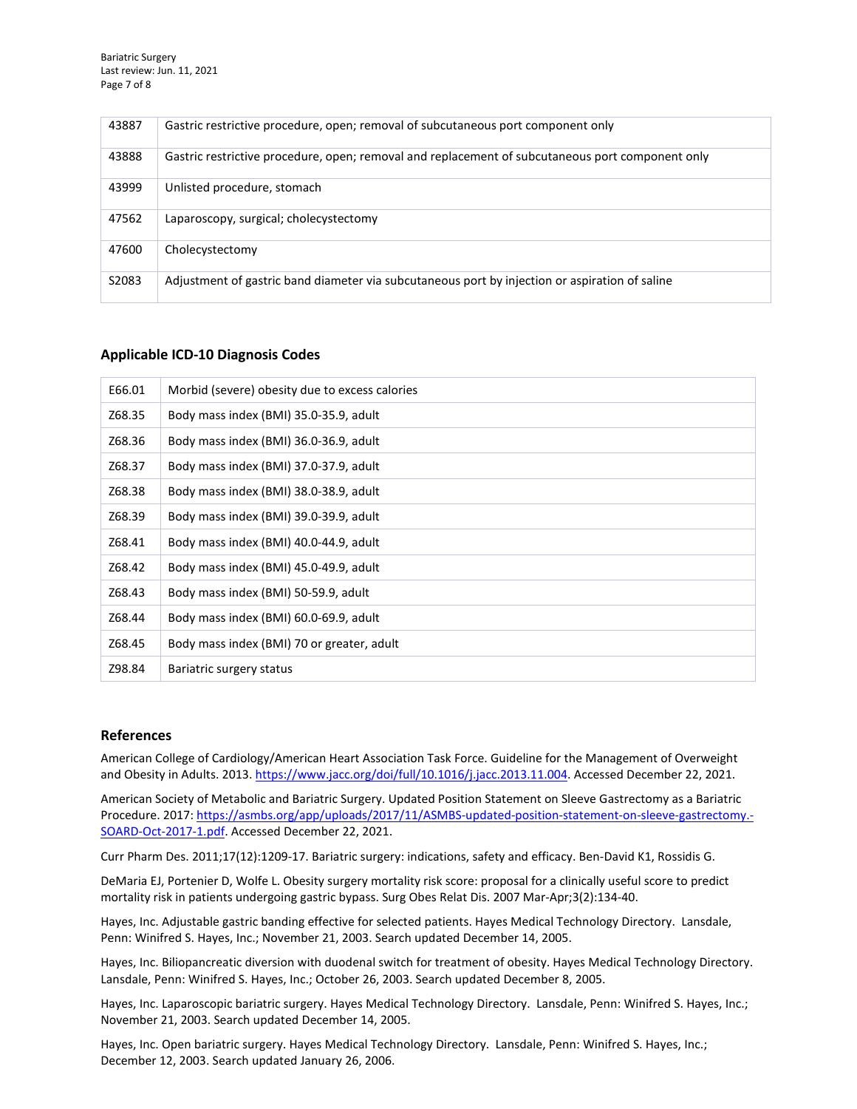Bariatric Surgery Last review: Jun. 11, 2021 Page 7 of 8

| 43887 | Gastric restrictive procedure, open; removal of subcutaneous port component only                 |
|-------|--------------------------------------------------------------------------------------------------|
| 43888 | Gastric restrictive procedure, open; removal and replacement of subcutaneous port component only |
| 43999 | Unlisted procedure, stomach                                                                      |
| 47562 | Laparoscopy, surgical; cholecystectomy                                                           |
| 47600 | Cholecystectomy                                                                                  |
| S2083 | Adjustment of gastric band diameter via subcutaneous port by injection or aspiration of saline   |

#### **Applicable ICD-10 Diagnosis Codes**

| E66.01 | Morbid (severe) obesity due to excess calories |
|--------|------------------------------------------------|
| Z68.35 | Body mass index (BMI) 35.0-35.9, adult         |
| Z68.36 | Body mass index (BMI) 36.0-36.9, adult         |
| Z68.37 | Body mass index (BMI) 37.0-37.9, adult         |
| Z68.38 | Body mass index (BMI) 38.0-38.9, adult         |
| Z68.39 | Body mass index (BMI) 39.0-39.9, adult         |
| Z68.41 | Body mass index (BMI) 40.0-44.9, adult         |
| Z68.42 | Body mass index (BMI) 45.0-49.9, adult         |
| Z68.43 | Body mass index (BMI) 50-59.9, adult           |
| Z68.44 | Body mass index (BMI) 60.0-69.9, adult         |
| Z68.45 | Body mass index (BMI) 70 or greater, adult     |
| Z98.84 | Bariatric surgery status                       |

#### **References**

American College of Cardiology/American Heart Association Task Force. Guideline for the Management of Overweight and Obesity in Adults. 2013[. https://www.jacc.org/doi/full/10.1016/j.jacc.2013.11.004.](https://www.jacc.org/doi/full/10.1016/j.jacc.2013.11.004) Accessed December 22, 2021.

American Society of Metabolic and Bariatric Surgery. Updated Position Statement on Sleeve Gastrectomy as a Bariatric Procedure. 2017[: https://asmbs.org/app/uploads/2017/11/ASMBS-updated-position-statement-on-sleeve-gastrectomy.-](https://asmbs.org/app/uploads/2017/11/ASMBS-updated-position-statement-on-sleeve-gastrectomy.-SOARD-Oct-2017-1.pdf) [SOARD-Oct-2017-1.pdf.](https://asmbs.org/app/uploads/2017/11/ASMBS-updated-position-statement-on-sleeve-gastrectomy.-SOARD-Oct-2017-1.pdf) Accessed December 22, 2021.

Curr Pharm Des. 2011;17(12):1209-17. Bariatric surgery: indications, safety and efficacy. Ben-David K1, Rossidis G.

DeMaria EJ, Portenier D, Wolfe L. Obesity surgery mortality risk score: proposal for a clinically useful score to predict mortality risk in patients undergoing gastric bypass. Surg Obes Relat Dis. 2007 Mar-Apr;3(2):134-40.

Hayes, Inc. Adjustable gastric banding effective for selected patients. Hayes Medical Technology Directory. Lansdale, Penn: Winifred S. Hayes, Inc.; November 21, 2003. Search updated December 14, 2005.

Hayes, Inc. Biliopancreatic diversion with duodenal switch for treatment of obesity. Hayes Medical Technology Directory. Lansdale, Penn: Winifred S. Hayes, Inc.; October 26, 2003. Search updated December 8, 2005.

Hayes, Inc. Laparoscopic bariatric surgery. Hayes Medical Technology Directory. Lansdale, Penn: Winifred S. Hayes, Inc.; November 21, 2003. Search updated December 14, 2005.

Hayes, Inc. Open bariatric surgery. Hayes Medical Technology Directory. Lansdale, Penn: Winifred S. Hayes, Inc.; December 12, 2003. Search updated January 26, 2006.